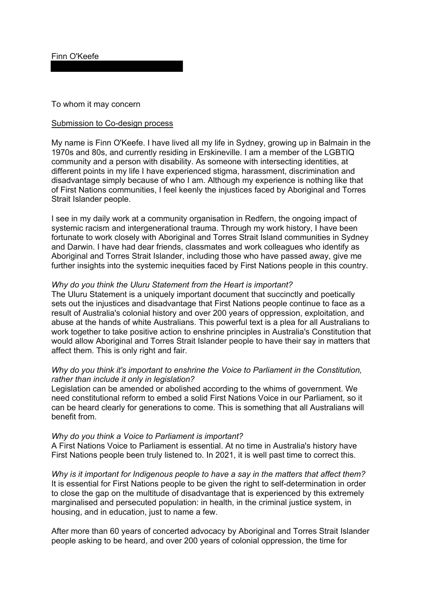Finn O'Keefe

To whom it may concern

## Submission to Co-design process

 My name is Finn O'Keefe. I have lived all my life in Sydney, growing up in Balmain in the disadvantage simply because of who I am. Although my experience is nothing like that Strait Islander people. 1970s and 80s, and currently residing in Erskineville. I am a member of the LGBTIQ community and a person with disability. As someone with intersecting identities, at different points in my life I have experienced stigma, harassment, discrimination and of First Nations communities, I feel keenly the injustices faced by Aboriginal and Torres

 systemic racism and intergenerational trauma. Through my work history, I have been and Darwin. I have had dear friends, classmates and work colleagues who identify as Aboriginal and Torres Strait Islander, including those who have passed away, give me I see in my daily work at a community organisation in Redfern, the ongoing impact of fortunate to work closely with Aboriginal and Torres Strait Island communities in Sydney further insights into the systemic inequities faced by First Nations people in this country.

## *Why do you think the Uluru Statement from the Heart is important?*

 The Uluru Statement is a uniquely important document that succinctly and poetically sets out the injustices and disadvantage that First Nations people continue to face as a result of Australia's colonial history and over 200 years of oppression, exploitation, and abuse at the hands of white Australians. This powerful text is a plea for all Australians to work together to take positive action to enshrine principles in Australia's Constitution that would allow Aboriginal and Torres Strait Islander people to have their say in matters that affect them. This is only right and fair.

## Why do you think it's important to enshrine the Voice to Parliament in the Constitution, *rather than include it only in legislation?*

Legislation can be amended or abolished according to the whims of government. We need constitutional reform to embed a solid First Nations Voice in our Parliament, so it can be heard clearly for generations to come. This is something that all Australians will benefit from.

## *Why do you think a Voice to Parliament is important?*

 A First Nations Voice to Parliament is essential. At no time in Australia's history have First Nations people been truly listened to. In 2021, it is well past time to correct this.

 *Why is it important for Indigenous people to have a say in the matters that affect them?*  marginalised and persecuted population: in health, in the criminal justice system, in It is essential for First Nations people to be given the right to self-determination in order to close the gap on the multitude of disadvantage that is experienced by this extremely housing, and in education, just to name a few.

After more than 60 years of concerted advocacy by Aboriginal and Torres Strait Islander people asking to be heard, and over 200 years of colonial oppression, the time for